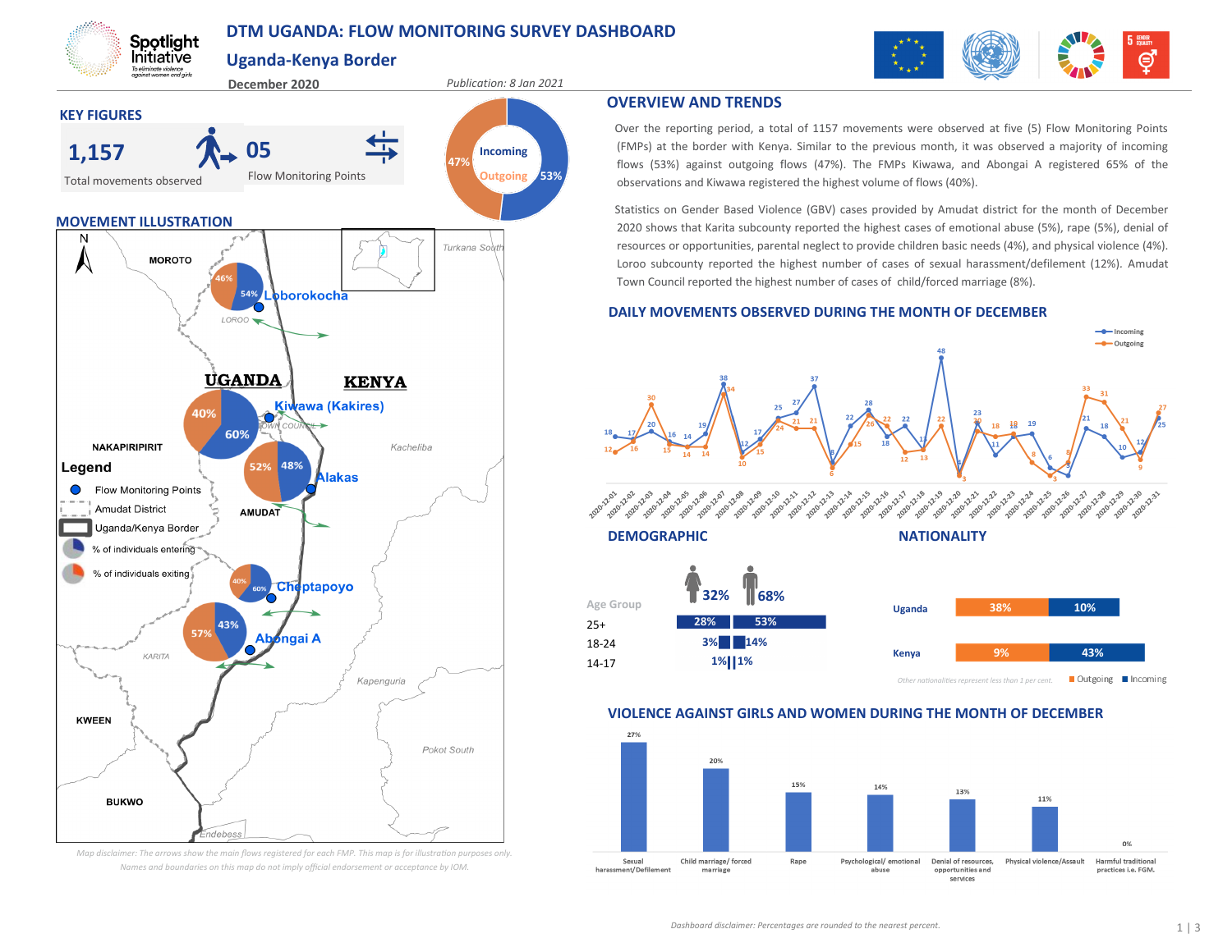# **DTM UGANDA: FLOW MONITORING SURVEY DASHBOARD**

**Uganda-Kenya Border**

Spotlight Initiative To eliminate violence<br>gaginst women and girls







Over the reporting period, a total of 1157 movements were observed at five (5) Flow Monitoring Points (FMPs) at the border with Kenya. Similar to the previous month, it was observed a majority of incoming flows (53%) against outgoing flows (47%). The FMPs Kiwawa, and Abongai A registered 65% of the observations and Kiwawa registered the highest volume of flows (40%).

Statistics on Gender Based Violence (GBV) cases provided by Amudat district for the month of December 2020 shows that Karita subcounty reported the highest cases of emotional abuse (5%), rape (5%), denial of resources or opportunities, parental neglect to provide children basic needs (4%), and physical violence (4%). Loroo subcounty reported the highest number of cases of sexual harassment/defilement (12%)*.* Amudat Town Council reported the highest number of cases of child/forced marriage (8%).

## **DAILY MOVEMENTS OBSERVED DURING THE MONTH OF DECEMBER**





## **VIOLENCE AGAINST GIRLS AND WOMEN DURING THE MONTH OF DECEMBER**





*Map disclaimer: The arrows show the main flows registered for each FMP. This map is for illustration purposes only. Names and boundaries on this map do not imply official endorsement or acceptance by IOM.*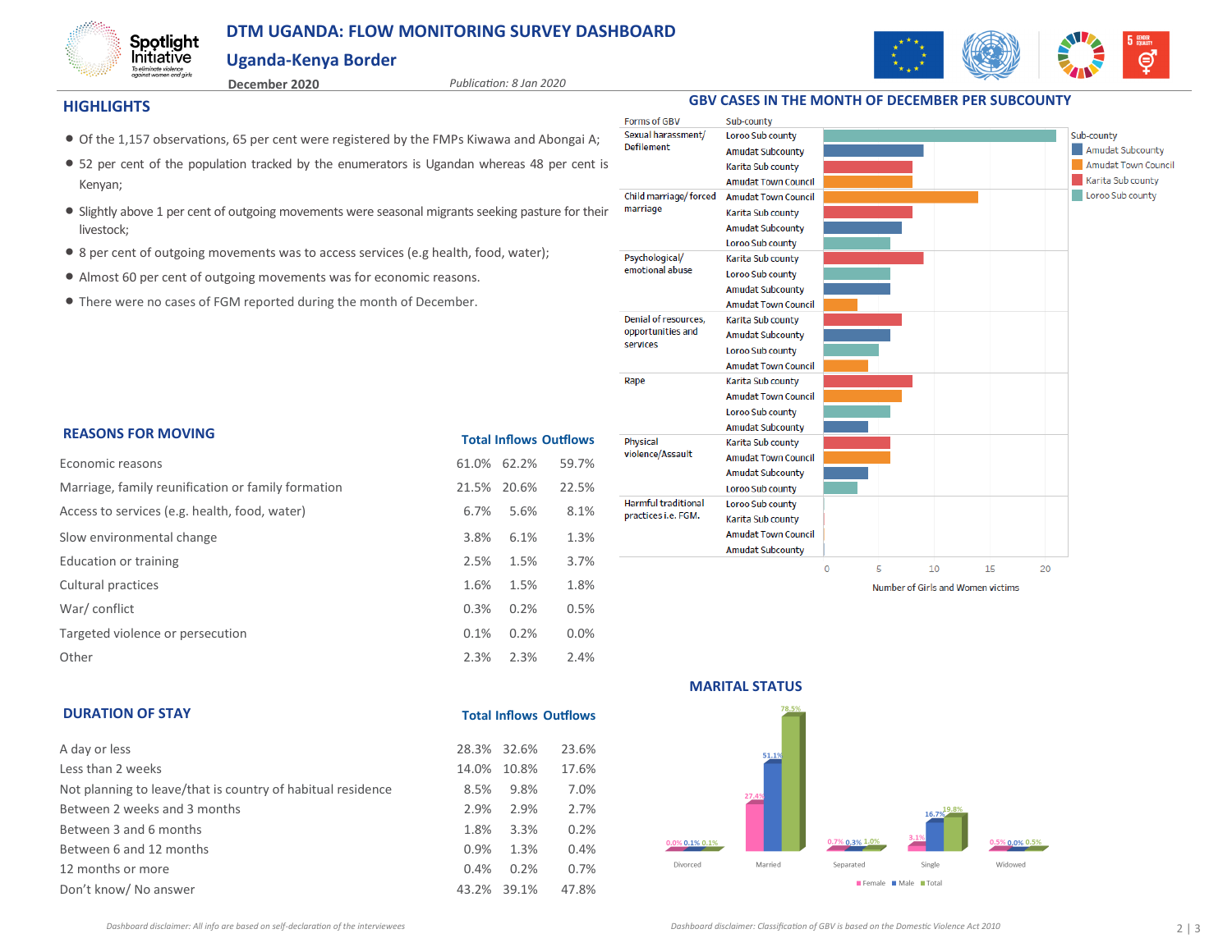# **DTM UGANDA: FLOW MONITORING SURVEY DASHBOARD**

## **Uganda-Kenya Border**



Spotlight Initiative To eliminate violence<br>against women and girls

**December 2020** *Publication: 8 Jan 2020*

### **HIGHLIGHTS**

**DURATION OF STAY**

- Of the 1,157 observations, 65 per cent were registered by the FMPs Kiwawa and Abongai A;
- 52 per cent of the population tracked by the enumerators is Ugandan whereas 48 per cent is Kenyan;
- Slightly above 1 per cent of outgoing movements were seasonal migrants seeking pasture for their livestock;
- 8 per cent of outgoing movements was to access services (e.g health, food, water);
- Almost 60 per cent of outgoing movements was for economic reasons.
- There were no cases of FGM reported during the month of December.

| <b>REASONS FOR MOVING</b>                          | <b>Total Inflows Outflows</b> |       |       |  |  |
|----------------------------------------------------|-------------------------------|-------|-------|--|--|
| Economic reasons                                   | 61.0%                         | 62.2% | 59.7% |  |  |
| Marriage, family reunification or family formation | 21.5%                         | 20.6% | 22.5% |  |  |
| Access to services (e.g. health, food, water)      | 6.7%                          | 5.6%  | 8.1%  |  |  |
| Slow environmental change                          | 3.8%                          | 6.1%  | 1.3%  |  |  |
| Education or training                              | 2.5%                          | 1.5%  | 3.7%  |  |  |
| Cultural practices                                 | 1.6%                          | 1.5%  | 1.8%  |  |  |
| War/conflict                                       | 0.3%                          | 0.2%  | 0.5%  |  |  |
| Targeted violence or persecution                   | 0.1%                          | 0.2%  | 0.0%  |  |  |
| Other                                              | 2.3%                          | 2.3%  | 2.4%  |  |  |



**GBV CASES IN THE MONTH OF DECEMBER PER SUBCOUNTY**

**Total Inflows Outflows** A day or less 28.3% 32.6% 23.6% Less than 2 weeks 14.0% 10.8% 17.6% Not planning to leave/that is country of habitual residence  $8.5\%$  9.8% 7.0% Between 2 weeks and 3 months 2.9% 2.9% 2.7% Between 3 and 6 months 1.8% 3.3% 0.2% Between 6 and 12 months 6.9% 1.3% 0.4% 12 months or more 0.4% 0.2% 0.7% Don't know/ No answer 43.2% 39.1% 47.8%



#### **MARITAL STATUS**